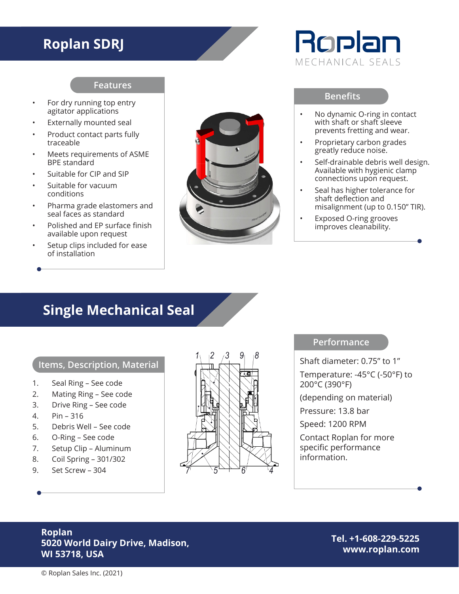## **Roplan SDRJ**

#### **Features**

- For dry running top entry agitator applications
- Externally mounted seal
- Product contact parts fully traceable
- Meets requirements of ASME BPE standard
- Suitable for CIP and SIP
- Suitable for vacuum conditions
- Pharma grade elastomers and seal faces as standard
- Polished and EP surface finish available upon request
- Setup clips included for ease of installation



# Roplan MECHANICAL SEALS

#### **Benefits**

- No dynamic O-ring in contact with shaft or shaft sleeve prevents fretting and wear.
- Proprietary carbon grades greatly reduce noise.
- Self-drainable debris well design. Available with hygienic clamp connections upon request.
- Seal has higher tolerance for shaft deflection and misalignment (up to 0.150" TIR).
- Exposed O-ring grooves improves cleanability.

### **Single Mechanical Seal**

#### **Items, Description, Material**

- 1. Seal Ring See code
- 2. Mating Ring See code
- 3. Drive Ring See code
- 4. Pin 316
- 5. Debris Well See code
- 6. O-Ring See code
- 7. Setup Clip Aluminum
- 8. Coil Spring 301/302
- 9. Set Screw 304



#### **Performance**

Shaft diameter: 0.75" to 1" Temperature: -45°C (-50°F) to 200°C (390°F) (depending on material) Pressure: 13.8 bar Speed: 1200 RPM Contact Roplan for more specific performance information.

#### **Roplan 5020 World Dairy Drive, Madison, WI 53718, USA**

**Tel. +1-608-229-5225 www.roplan.com**